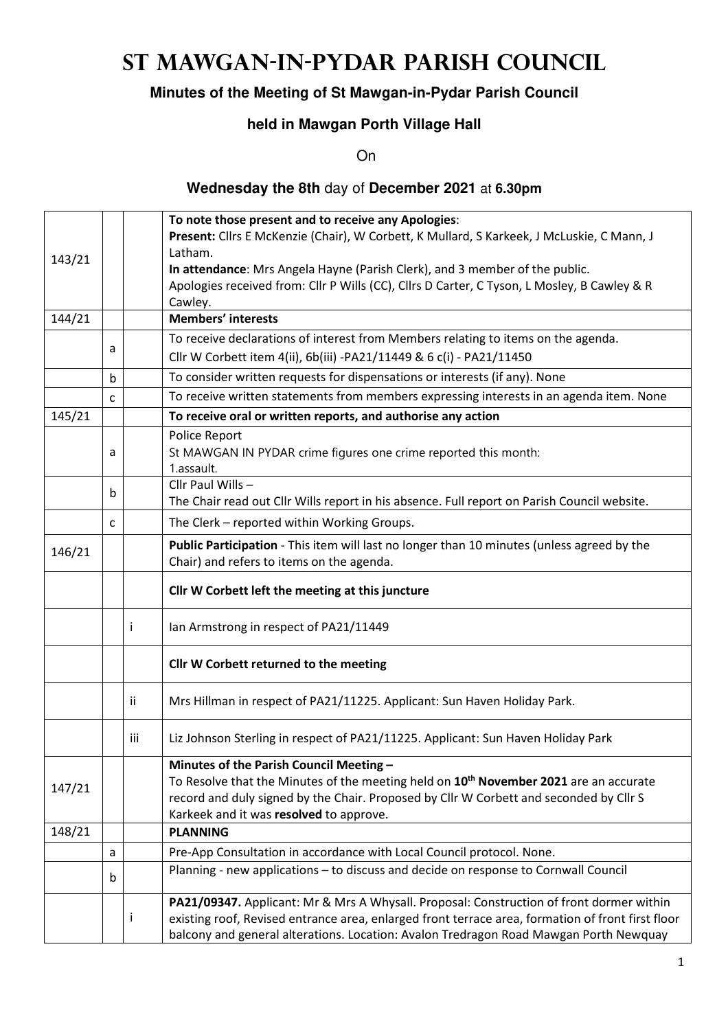# **St Mawgan-in-Pydar Parish Council**

### **Minutes of the Meeting of St Mawgan-in-Pydar Parish Council**

### **held in Mawgan Porth Village Hall**

On

#### **Wednesday the 8th** day of **December 2021** at **6.30pm**

|        |   |     | To note those present and to receive any Apologies:                                                                                                                                        |
|--------|---|-----|--------------------------------------------------------------------------------------------------------------------------------------------------------------------------------------------|
|        |   |     | Present: Cllrs E McKenzie (Chair), W Corbett, K Mullard, S Karkeek, J McLuskie, C Mann, J                                                                                                  |
| 143/21 |   |     | Latham.                                                                                                                                                                                    |
|        |   |     | In attendance: Mrs Angela Hayne (Parish Clerk), and 3 member of the public.                                                                                                                |
|        |   |     | Apologies received from: Cllr P Wills (CC), Cllrs D Carter, C Tyson, L Mosley, B Cawley & R                                                                                                |
|        |   |     | Cawley.                                                                                                                                                                                    |
| 144/21 |   |     | <b>Members' interests</b>                                                                                                                                                                  |
|        |   |     | To receive declarations of interest from Members relating to items on the agenda.                                                                                                          |
|        | a |     | Cllr W Corbett item 4(ii), 6b(iii) -PA21/11449 & 6 c(i) - PA21/11450                                                                                                                       |
|        | b |     | To consider written requests for dispensations or interests (if any). None                                                                                                                 |
|        | C |     | To receive written statements from members expressing interests in an agenda item. None                                                                                                    |
| 145/21 |   |     | To receive oral or written reports, and authorise any action                                                                                                                               |
|        |   |     | Police Report                                                                                                                                                                              |
|        | a |     | St MAWGAN IN PYDAR crime figures one crime reported this month:                                                                                                                            |
|        |   |     | 1.assault.                                                                                                                                                                                 |
|        |   |     | Cllr Paul Wills -                                                                                                                                                                          |
|        | b |     | The Chair read out Cllr Wills report in his absence. Full report on Parish Council website.                                                                                                |
|        | C |     | The Clerk - reported within Working Groups.                                                                                                                                                |
|        |   |     | Public Participation - This item will last no longer than 10 minutes (unless agreed by the                                                                                                 |
| 146/21 |   |     | Chair) and refers to items on the agenda.                                                                                                                                                  |
|        |   |     | Cllr W Corbett left the meeting at this juncture                                                                                                                                           |
|        |   | i.  | Ian Armstrong in respect of PA21/11449                                                                                                                                                     |
|        |   |     | Cllr W Corbett returned to the meeting                                                                                                                                                     |
|        |   | ii. | Mrs Hillman in respect of PA21/11225. Applicant: Sun Haven Holiday Park.                                                                                                                   |
|        |   | iii | Liz Johnson Sterling in respect of PA21/11225. Applicant: Sun Haven Holiday Park                                                                                                           |
| 147/21 |   |     |                                                                                                                                                                                            |
|        |   |     | Minutes of the Parish Council Meeting -<br>To Resolve that the Minutes of the meeting held on 10 <sup>th</sup> November 2021 are an accurate                                               |
|        |   |     | record and duly signed by the Chair. Proposed by Cllr W Corbett and seconded by Cllr S                                                                                                     |
| 148/21 |   |     | Karkeek and it was resolved to approve.<br><b>PLANNING</b>                                                                                                                                 |
|        | a |     | Pre-App Consultation in accordance with Local Council protocol. None.                                                                                                                      |
|        | b |     | Planning - new applications - to discuss and decide on response to Cornwall Council                                                                                                        |
|        |   |     |                                                                                                                                                                                            |
|        |   |     | PA21/09347. Applicant: Mr & Mrs A Whysall. Proposal: Construction of front dormer within                                                                                                   |
|        |   | Ť   | existing roof, Revised entrance area, enlarged front terrace area, formation of front first floor<br>balcony and general alterations. Location: Avalon Tredragon Road Mawgan Porth Newquay |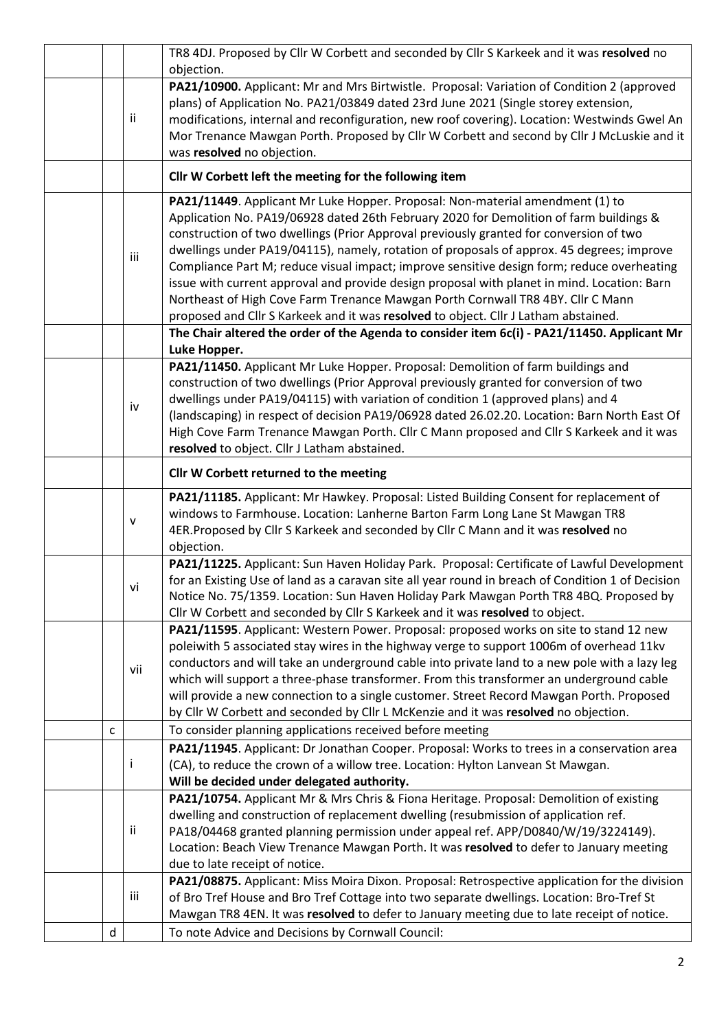|   |              | TR8 4DJ. Proposed by Cllr W Corbett and seconded by Cllr S Karkeek and it was resolved no                                                                                                  |
|---|--------------|--------------------------------------------------------------------------------------------------------------------------------------------------------------------------------------------|
|   |              | objection.                                                                                                                                                                                 |
|   |              | PA21/10900. Applicant: Mr and Mrs Birtwistle. Proposal: Variation of Condition 2 (approved                                                                                                 |
|   | ii           | plans) of Application No. PA21/03849 dated 23rd June 2021 (Single storey extension,<br>modifications, internal and reconfiguration, new roof covering). Location: Westwinds Gwel An        |
|   |              | Mor Trenance Mawgan Porth. Proposed by Cllr W Corbett and second by Cllr J McLuskie and it                                                                                                 |
|   |              | was resolved no objection.                                                                                                                                                                 |
|   |              | Cllr W Corbett left the meeting for the following item                                                                                                                                     |
|   |              | PA21/11449. Applicant Mr Luke Hopper. Proposal: Non-material amendment (1) to                                                                                                              |
|   |              | Application No. PA19/06928 dated 26th February 2020 for Demolition of farm buildings &                                                                                                     |
|   |              | construction of two dwellings (Prior Approval previously granted for conversion of two                                                                                                     |
|   | iii          | dwellings under PA19/04115), namely, rotation of proposals of approx. 45 degrees; improve                                                                                                  |
|   |              | Compliance Part M; reduce visual impact; improve sensitive design form; reduce overheating                                                                                                 |
|   |              | issue with current approval and provide design proposal with planet in mind. Location: Barn                                                                                                |
|   |              | Northeast of High Cove Farm Trenance Mawgan Porth Cornwall TR8 4BY. Cllr C Mann                                                                                                            |
|   |              | proposed and Cllr S Karkeek and it was resolved to object. Cllr J Latham abstained.                                                                                                        |
|   |              | The Chair altered the order of the Agenda to consider item 6c(i) - PA21/11450. Applicant Mr<br>Luke Hopper.                                                                                |
|   |              | PA21/11450. Applicant Mr Luke Hopper. Proposal: Demolition of farm buildings and                                                                                                           |
|   |              | construction of two dwellings (Prior Approval previously granted for conversion of two                                                                                                     |
|   | iv           | dwellings under PA19/04115) with variation of condition 1 (approved plans) and 4                                                                                                           |
|   |              | (landscaping) in respect of decision PA19/06928 dated 26.02.20. Location: Barn North East Of                                                                                               |
|   |              | High Cove Farm Trenance Mawgan Porth. Cllr C Mann proposed and Cllr S Karkeek and it was                                                                                                   |
|   |              | resolved to object. Cllr J Latham abstained.                                                                                                                                               |
|   |              | Cllr W Corbett returned to the meeting                                                                                                                                                     |
|   |              | PA21/11185. Applicant: Mr Hawkey. Proposal: Listed Building Consent for replacement of                                                                                                     |
|   | $\mathsf{V}$ | windows to Farmhouse. Location: Lanherne Barton Farm Long Lane St Mawgan TR8                                                                                                               |
|   |              | 4ER. Proposed by Cllr S Karkeek and seconded by Cllr C Mann and it was resolved no<br>objection.                                                                                           |
|   |              | PA21/11225. Applicant: Sun Haven Holiday Park. Proposal: Certificate of Lawful Development                                                                                                 |
|   |              | for an Existing Use of land as a caravan site all year round in breach of Condition 1 of Decision                                                                                          |
|   | vi           | Notice No. 75/1359. Location: Sun Haven Holiday Park Mawgan Porth TR8 4BQ. Proposed by                                                                                                     |
|   |              | Cllr W Corbett and seconded by Cllr S Karkeek and it was resolved to object.                                                                                                               |
|   |              | PA21/11595. Applicant: Western Power. Proposal: proposed works on site to stand 12 new                                                                                                     |
|   |              | poleiwith 5 associated stay wires in the highway verge to support 1006m of overhead 11kv                                                                                                   |
|   | vii          | conductors and will take an underground cable into private land to a new pole with a lazy leg                                                                                              |
|   |              | which will support a three-phase transformer. From this transformer an underground cable                                                                                                   |
|   |              | will provide a new connection to a single customer. Street Record Mawgan Porth. Proposed<br>by Cllr W Corbett and seconded by Cllr L McKenzie and it was resolved no objection.            |
| C |              | To consider planning applications received before meeting                                                                                                                                  |
|   |              | PA21/11945. Applicant: Dr Jonathan Cooper. Proposal: Works to trees in a conservation area                                                                                                 |
|   | j.           | (CA), to reduce the crown of a willow tree. Location: Hylton Lanvean St Mawgan.                                                                                                            |
|   |              | Will be decided under delegated authority.                                                                                                                                                 |
|   |              | PA21/10754. Applicant Mr & Mrs Chris & Fiona Heritage. Proposal: Demolition of existing                                                                                                    |
|   |              | dwelling and construction of replacement dwelling (resubmission of application ref.                                                                                                        |
|   | ii           | PA18/04468 granted planning permission under appeal ref. APP/D0840/W/19/3224149).                                                                                                          |
|   |              | Location: Beach View Trenance Mawgan Porth. It was resolved to defer to January meeting                                                                                                    |
|   |              | due to late receipt of notice.                                                                                                                                                             |
|   | iii          | PA21/08875. Applicant: Miss Moira Dixon. Proposal: Retrospective application for the division<br>of Bro Tref House and Bro Tref Cottage into two separate dwellings. Location: Bro-Tref St |
|   |              | Mawgan TR8 4EN. It was resolved to defer to January meeting due to late receipt of notice.                                                                                                 |
| d |              | To note Advice and Decisions by Cornwall Council:                                                                                                                                          |
|   |              |                                                                                                                                                                                            |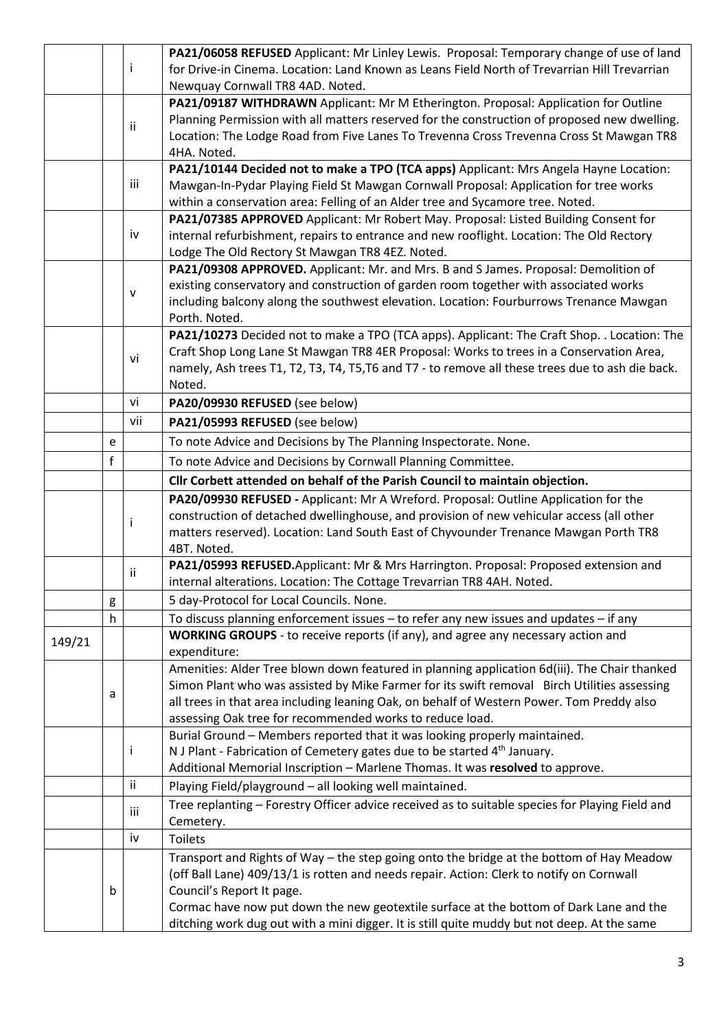| for Drive-in Cinema. Location: Land Known as Leans Field North of Trevarrian Hill Trevarrian<br>Ť<br>Newquay Cornwall TR8 4AD. Noted.<br>PA21/09187 WITHDRAWN Applicant: Mr M Etherington. Proposal: Application for Outline<br>Planning Permission with all matters reserved for the construction of proposed new dwelling.<br>ii<br>Location: The Lodge Road from Five Lanes To Trevenna Cross Trevenna Cross St Mawgan TR8<br>4HA. Noted.<br>PA21/10144 Decided not to make a TPO (TCA apps) Applicant: Mrs Angela Hayne Location:<br>iii<br>Mawgan-In-Pydar Playing Field St Mawgan Cornwall Proposal: Application for tree works<br>within a conservation area: Felling of an Alder tree and Sycamore tree. Noted.<br>PA21/07385 APPROVED Applicant: Mr Robert May. Proposal: Listed Building Consent for<br>iv<br>internal refurbishment, repairs to entrance and new rooflight. Location: The Old Rectory<br>Lodge The Old Rectory St Mawgan TR8 4EZ. Noted.<br>PA21/09308 APPROVED. Applicant: Mr. and Mrs. B and S James. Proposal: Demolition of<br>existing conservatory and construction of garden room together with associated works<br>$\mathsf{v}$<br>including balcony along the southwest elevation. Location: Fourburrows Trenance Mawgan<br>Porth. Noted.<br>PA21/10273 Decided not to make a TPO (TCA apps). Applicant: The Craft Shop. . Location: The<br>Craft Shop Long Lane St Mawgan TR8 4ER Proposal: Works to trees in a Conservation Area,<br>vi<br>namely, Ash trees T1, T2, T3, T4, T5, T6 and T7 - to remove all these trees due to ash die back.<br>Noted.<br>vi<br>PA20/09930 REFUSED (see below)<br>vii<br>PA21/05993 REFUSED (see below)<br>To note Advice and Decisions by The Planning Inspectorate. None.<br>e<br>$\mathsf{f}$<br>To note Advice and Decisions by Cornwall Planning Committee.<br>Cllr Corbett attended on behalf of the Parish Council to maintain objection.<br>PA20/09930 REFUSED - Applicant: Mr A Wreford. Proposal: Outline Application for the<br>construction of detached dwellinghouse, and provision of new vehicular access (all other<br>Ť<br>matters reserved). Location: Land South East of Chyvounder Trenance Mawgan Porth TR8<br>4BT. Noted.<br>PA21/05993 REFUSED. Applicant: Mr & Mrs Harrington. Proposal: Proposed extension and<br>ii<br>internal alterations. Location: The Cottage Trevarrian TR8 4AH. Noted.<br>5 day-Protocol for Local Councils. None.<br>g<br>To discuss planning enforcement issues - to refer any new issues and updates - if any<br>h<br>WORKING GROUPS - to receive reports (if any), and agree any necessary action and<br>149/21<br>expenditure:<br>Amenities: Alder Tree blown down featured in planning application 6d(iii). The Chair thanked<br>Simon Plant who was assisted by Mike Farmer for its swift removal Birch Utilities assessing<br>a<br>all trees in that area including leaning Oak, on behalf of Western Power. Tom Preddy also<br>assessing Oak tree for recommended works to reduce load.<br>Burial Ground - Members reported that it was looking properly maintained.<br>N J Plant - Fabrication of Cemetery gates due to be started 4 <sup>th</sup> January.<br>Ť<br>Additional Memorial Inscription - Marlene Thomas. It was resolved to approve.<br>ii<br>Playing Field/playground - all looking well maintained.<br>Tree replanting - Forestry Officer advice received as to suitable species for Playing Field and |  |   |     | PA21/06058 REFUSED Applicant: Mr Linley Lewis. Proposal: Temporary change of use of land                            |  |  |  |  |
|-------------------------------------------------------------------------------------------------------------------------------------------------------------------------------------------------------------------------------------------------------------------------------------------------------------------------------------------------------------------------------------------------------------------------------------------------------------------------------------------------------------------------------------------------------------------------------------------------------------------------------------------------------------------------------------------------------------------------------------------------------------------------------------------------------------------------------------------------------------------------------------------------------------------------------------------------------------------------------------------------------------------------------------------------------------------------------------------------------------------------------------------------------------------------------------------------------------------------------------------------------------------------------------------------------------------------------------------------------------------------------------------------------------------------------------------------------------------------------------------------------------------------------------------------------------------------------------------------------------------------------------------------------------------------------------------------------------------------------------------------------------------------------------------------------------------------------------------------------------------------------------------------------------------------------------------------------------------------------------------------------------------------------------------------------------------------------------------------------------------------------------------------------------------------------------------------------------------------------------------------------------------------------------------------------------------------------------------------------------------------------------------------------------------------------------------------------------------------------------------------------------------------------------------------------------------------------------------------------------------------------------------------------------------------------------------------------------------------------------------------------------------------------------------------------------------------------------------------------------------------------------------------------------------------------------------------------------------------------------------------------------------------------------------------------------------------------------------------------------------------------------------------------------------------------------------------------------------------------------------------------------------------------------------------------------------------------------------------------------------------------------------------------------------------------------------------------|--|---|-----|---------------------------------------------------------------------------------------------------------------------|--|--|--|--|
|                                                                                                                                                                                                                                                                                                                                                                                                                                                                                                                                                                                                                                                                                                                                                                                                                                                                                                                                                                                                                                                                                                                                                                                                                                                                                                                                                                                                                                                                                                                                                                                                                                                                                                                                                                                                                                                                                                                                                                                                                                                                                                                                                                                                                                                                                                                                                                                                                                                                                                                                                                                                                                                                                                                                                                                                                                                                                                                                                                                                                                                                                                                                                                                                                                                                                                                                                                                                                                                       |  |   |     |                                                                                                                     |  |  |  |  |
|                                                                                                                                                                                                                                                                                                                                                                                                                                                                                                                                                                                                                                                                                                                                                                                                                                                                                                                                                                                                                                                                                                                                                                                                                                                                                                                                                                                                                                                                                                                                                                                                                                                                                                                                                                                                                                                                                                                                                                                                                                                                                                                                                                                                                                                                                                                                                                                                                                                                                                                                                                                                                                                                                                                                                                                                                                                                                                                                                                                                                                                                                                                                                                                                                                                                                                                                                                                                                                                       |  |   |     |                                                                                                                     |  |  |  |  |
|                                                                                                                                                                                                                                                                                                                                                                                                                                                                                                                                                                                                                                                                                                                                                                                                                                                                                                                                                                                                                                                                                                                                                                                                                                                                                                                                                                                                                                                                                                                                                                                                                                                                                                                                                                                                                                                                                                                                                                                                                                                                                                                                                                                                                                                                                                                                                                                                                                                                                                                                                                                                                                                                                                                                                                                                                                                                                                                                                                                                                                                                                                                                                                                                                                                                                                                                                                                                                                                       |  |   |     |                                                                                                                     |  |  |  |  |
|                                                                                                                                                                                                                                                                                                                                                                                                                                                                                                                                                                                                                                                                                                                                                                                                                                                                                                                                                                                                                                                                                                                                                                                                                                                                                                                                                                                                                                                                                                                                                                                                                                                                                                                                                                                                                                                                                                                                                                                                                                                                                                                                                                                                                                                                                                                                                                                                                                                                                                                                                                                                                                                                                                                                                                                                                                                                                                                                                                                                                                                                                                                                                                                                                                                                                                                                                                                                                                                       |  |   |     |                                                                                                                     |  |  |  |  |
|                                                                                                                                                                                                                                                                                                                                                                                                                                                                                                                                                                                                                                                                                                                                                                                                                                                                                                                                                                                                                                                                                                                                                                                                                                                                                                                                                                                                                                                                                                                                                                                                                                                                                                                                                                                                                                                                                                                                                                                                                                                                                                                                                                                                                                                                                                                                                                                                                                                                                                                                                                                                                                                                                                                                                                                                                                                                                                                                                                                                                                                                                                                                                                                                                                                                                                                                                                                                                                                       |  |   |     |                                                                                                                     |  |  |  |  |
|                                                                                                                                                                                                                                                                                                                                                                                                                                                                                                                                                                                                                                                                                                                                                                                                                                                                                                                                                                                                                                                                                                                                                                                                                                                                                                                                                                                                                                                                                                                                                                                                                                                                                                                                                                                                                                                                                                                                                                                                                                                                                                                                                                                                                                                                                                                                                                                                                                                                                                                                                                                                                                                                                                                                                                                                                                                                                                                                                                                                                                                                                                                                                                                                                                                                                                                                                                                                                                                       |  |   |     |                                                                                                                     |  |  |  |  |
|                                                                                                                                                                                                                                                                                                                                                                                                                                                                                                                                                                                                                                                                                                                                                                                                                                                                                                                                                                                                                                                                                                                                                                                                                                                                                                                                                                                                                                                                                                                                                                                                                                                                                                                                                                                                                                                                                                                                                                                                                                                                                                                                                                                                                                                                                                                                                                                                                                                                                                                                                                                                                                                                                                                                                                                                                                                                                                                                                                                                                                                                                                                                                                                                                                                                                                                                                                                                                                                       |  |   |     |                                                                                                                     |  |  |  |  |
|                                                                                                                                                                                                                                                                                                                                                                                                                                                                                                                                                                                                                                                                                                                                                                                                                                                                                                                                                                                                                                                                                                                                                                                                                                                                                                                                                                                                                                                                                                                                                                                                                                                                                                                                                                                                                                                                                                                                                                                                                                                                                                                                                                                                                                                                                                                                                                                                                                                                                                                                                                                                                                                                                                                                                                                                                                                                                                                                                                                                                                                                                                                                                                                                                                                                                                                                                                                                                                                       |  |   |     |                                                                                                                     |  |  |  |  |
|                                                                                                                                                                                                                                                                                                                                                                                                                                                                                                                                                                                                                                                                                                                                                                                                                                                                                                                                                                                                                                                                                                                                                                                                                                                                                                                                                                                                                                                                                                                                                                                                                                                                                                                                                                                                                                                                                                                                                                                                                                                                                                                                                                                                                                                                                                                                                                                                                                                                                                                                                                                                                                                                                                                                                                                                                                                                                                                                                                                                                                                                                                                                                                                                                                                                                                                                                                                                                                                       |  |   |     |                                                                                                                     |  |  |  |  |
|                                                                                                                                                                                                                                                                                                                                                                                                                                                                                                                                                                                                                                                                                                                                                                                                                                                                                                                                                                                                                                                                                                                                                                                                                                                                                                                                                                                                                                                                                                                                                                                                                                                                                                                                                                                                                                                                                                                                                                                                                                                                                                                                                                                                                                                                                                                                                                                                                                                                                                                                                                                                                                                                                                                                                                                                                                                                                                                                                                                                                                                                                                                                                                                                                                                                                                                                                                                                                                                       |  |   |     |                                                                                                                     |  |  |  |  |
|                                                                                                                                                                                                                                                                                                                                                                                                                                                                                                                                                                                                                                                                                                                                                                                                                                                                                                                                                                                                                                                                                                                                                                                                                                                                                                                                                                                                                                                                                                                                                                                                                                                                                                                                                                                                                                                                                                                                                                                                                                                                                                                                                                                                                                                                                                                                                                                                                                                                                                                                                                                                                                                                                                                                                                                                                                                                                                                                                                                                                                                                                                                                                                                                                                                                                                                                                                                                                                                       |  |   |     |                                                                                                                     |  |  |  |  |
|                                                                                                                                                                                                                                                                                                                                                                                                                                                                                                                                                                                                                                                                                                                                                                                                                                                                                                                                                                                                                                                                                                                                                                                                                                                                                                                                                                                                                                                                                                                                                                                                                                                                                                                                                                                                                                                                                                                                                                                                                                                                                                                                                                                                                                                                                                                                                                                                                                                                                                                                                                                                                                                                                                                                                                                                                                                                                                                                                                                                                                                                                                                                                                                                                                                                                                                                                                                                                                                       |  |   |     |                                                                                                                     |  |  |  |  |
|                                                                                                                                                                                                                                                                                                                                                                                                                                                                                                                                                                                                                                                                                                                                                                                                                                                                                                                                                                                                                                                                                                                                                                                                                                                                                                                                                                                                                                                                                                                                                                                                                                                                                                                                                                                                                                                                                                                                                                                                                                                                                                                                                                                                                                                                                                                                                                                                                                                                                                                                                                                                                                                                                                                                                                                                                                                                                                                                                                                                                                                                                                                                                                                                                                                                                                                                                                                                                                                       |  |   |     |                                                                                                                     |  |  |  |  |
|                                                                                                                                                                                                                                                                                                                                                                                                                                                                                                                                                                                                                                                                                                                                                                                                                                                                                                                                                                                                                                                                                                                                                                                                                                                                                                                                                                                                                                                                                                                                                                                                                                                                                                                                                                                                                                                                                                                                                                                                                                                                                                                                                                                                                                                                                                                                                                                                                                                                                                                                                                                                                                                                                                                                                                                                                                                                                                                                                                                                                                                                                                                                                                                                                                                                                                                                                                                                                                                       |  |   |     |                                                                                                                     |  |  |  |  |
|                                                                                                                                                                                                                                                                                                                                                                                                                                                                                                                                                                                                                                                                                                                                                                                                                                                                                                                                                                                                                                                                                                                                                                                                                                                                                                                                                                                                                                                                                                                                                                                                                                                                                                                                                                                                                                                                                                                                                                                                                                                                                                                                                                                                                                                                                                                                                                                                                                                                                                                                                                                                                                                                                                                                                                                                                                                                                                                                                                                                                                                                                                                                                                                                                                                                                                                                                                                                                                                       |  |   |     |                                                                                                                     |  |  |  |  |
|                                                                                                                                                                                                                                                                                                                                                                                                                                                                                                                                                                                                                                                                                                                                                                                                                                                                                                                                                                                                                                                                                                                                                                                                                                                                                                                                                                                                                                                                                                                                                                                                                                                                                                                                                                                                                                                                                                                                                                                                                                                                                                                                                                                                                                                                                                                                                                                                                                                                                                                                                                                                                                                                                                                                                                                                                                                                                                                                                                                                                                                                                                                                                                                                                                                                                                                                                                                                                                                       |  |   |     |                                                                                                                     |  |  |  |  |
|                                                                                                                                                                                                                                                                                                                                                                                                                                                                                                                                                                                                                                                                                                                                                                                                                                                                                                                                                                                                                                                                                                                                                                                                                                                                                                                                                                                                                                                                                                                                                                                                                                                                                                                                                                                                                                                                                                                                                                                                                                                                                                                                                                                                                                                                                                                                                                                                                                                                                                                                                                                                                                                                                                                                                                                                                                                                                                                                                                                                                                                                                                                                                                                                                                                                                                                                                                                                                                                       |  |   |     |                                                                                                                     |  |  |  |  |
|                                                                                                                                                                                                                                                                                                                                                                                                                                                                                                                                                                                                                                                                                                                                                                                                                                                                                                                                                                                                                                                                                                                                                                                                                                                                                                                                                                                                                                                                                                                                                                                                                                                                                                                                                                                                                                                                                                                                                                                                                                                                                                                                                                                                                                                                                                                                                                                                                                                                                                                                                                                                                                                                                                                                                                                                                                                                                                                                                                                                                                                                                                                                                                                                                                                                                                                                                                                                                                                       |  |   |     |                                                                                                                     |  |  |  |  |
|                                                                                                                                                                                                                                                                                                                                                                                                                                                                                                                                                                                                                                                                                                                                                                                                                                                                                                                                                                                                                                                                                                                                                                                                                                                                                                                                                                                                                                                                                                                                                                                                                                                                                                                                                                                                                                                                                                                                                                                                                                                                                                                                                                                                                                                                                                                                                                                                                                                                                                                                                                                                                                                                                                                                                                                                                                                                                                                                                                                                                                                                                                                                                                                                                                                                                                                                                                                                                                                       |  |   |     |                                                                                                                     |  |  |  |  |
|                                                                                                                                                                                                                                                                                                                                                                                                                                                                                                                                                                                                                                                                                                                                                                                                                                                                                                                                                                                                                                                                                                                                                                                                                                                                                                                                                                                                                                                                                                                                                                                                                                                                                                                                                                                                                                                                                                                                                                                                                                                                                                                                                                                                                                                                                                                                                                                                                                                                                                                                                                                                                                                                                                                                                                                                                                                                                                                                                                                                                                                                                                                                                                                                                                                                                                                                                                                                                                                       |  |   |     |                                                                                                                     |  |  |  |  |
|                                                                                                                                                                                                                                                                                                                                                                                                                                                                                                                                                                                                                                                                                                                                                                                                                                                                                                                                                                                                                                                                                                                                                                                                                                                                                                                                                                                                                                                                                                                                                                                                                                                                                                                                                                                                                                                                                                                                                                                                                                                                                                                                                                                                                                                                                                                                                                                                                                                                                                                                                                                                                                                                                                                                                                                                                                                                                                                                                                                                                                                                                                                                                                                                                                                                                                                                                                                                                                                       |  |   |     |                                                                                                                     |  |  |  |  |
|                                                                                                                                                                                                                                                                                                                                                                                                                                                                                                                                                                                                                                                                                                                                                                                                                                                                                                                                                                                                                                                                                                                                                                                                                                                                                                                                                                                                                                                                                                                                                                                                                                                                                                                                                                                                                                                                                                                                                                                                                                                                                                                                                                                                                                                                                                                                                                                                                                                                                                                                                                                                                                                                                                                                                                                                                                                                                                                                                                                                                                                                                                                                                                                                                                                                                                                                                                                                                                                       |  |   |     |                                                                                                                     |  |  |  |  |
|                                                                                                                                                                                                                                                                                                                                                                                                                                                                                                                                                                                                                                                                                                                                                                                                                                                                                                                                                                                                                                                                                                                                                                                                                                                                                                                                                                                                                                                                                                                                                                                                                                                                                                                                                                                                                                                                                                                                                                                                                                                                                                                                                                                                                                                                                                                                                                                                                                                                                                                                                                                                                                                                                                                                                                                                                                                                                                                                                                                                                                                                                                                                                                                                                                                                                                                                                                                                                                                       |  |   |     |                                                                                                                     |  |  |  |  |
|                                                                                                                                                                                                                                                                                                                                                                                                                                                                                                                                                                                                                                                                                                                                                                                                                                                                                                                                                                                                                                                                                                                                                                                                                                                                                                                                                                                                                                                                                                                                                                                                                                                                                                                                                                                                                                                                                                                                                                                                                                                                                                                                                                                                                                                                                                                                                                                                                                                                                                                                                                                                                                                                                                                                                                                                                                                                                                                                                                                                                                                                                                                                                                                                                                                                                                                                                                                                                                                       |  |   |     |                                                                                                                     |  |  |  |  |
|                                                                                                                                                                                                                                                                                                                                                                                                                                                                                                                                                                                                                                                                                                                                                                                                                                                                                                                                                                                                                                                                                                                                                                                                                                                                                                                                                                                                                                                                                                                                                                                                                                                                                                                                                                                                                                                                                                                                                                                                                                                                                                                                                                                                                                                                                                                                                                                                                                                                                                                                                                                                                                                                                                                                                                                                                                                                                                                                                                                                                                                                                                                                                                                                                                                                                                                                                                                                                                                       |  |   |     |                                                                                                                     |  |  |  |  |
|                                                                                                                                                                                                                                                                                                                                                                                                                                                                                                                                                                                                                                                                                                                                                                                                                                                                                                                                                                                                                                                                                                                                                                                                                                                                                                                                                                                                                                                                                                                                                                                                                                                                                                                                                                                                                                                                                                                                                                                                                                                                                                                                                                                                                                                                                                                                                                                                                                                                                                                                                                                                                                                                                                                                                                                                                                                                                                                                                                                                                                                                                                                                                                                                                                                                                                                                                                                                                                                       |  |   |     |                                                                                                                     |  |  |  |  |
|                                                                                                                                                                                                                                                                                                                                                                                                                                                                                                                                                                                                                                                                                                                                                                                                                                                                                                                                                                                                                                                                                                                                                                                                                                                                                                                                                                                                                                                                                                                                                                                                                                                                                                                                                                                                                                                                                                                                                                                                                                                                                                                                                                                                                                                                                                                                                                                                                                                                                                                                                                                                                                                                                                                                                                                                                                                                                                                                                                                                                                                                                                                                                                                                                                                                                                                                                                                                                                                       |  |   |     |                                                                                                                     |  |  |  |  |
|                                                                                                                                                                                                                                                                                                                                                                                                                                                                                                                                                                                                                                                                                                                                                                                                                                                                                                                                                                                                                                                                                                                                                                                                                                                                                                                                                                                                                                                                                                                                                                                                                                                                                                                                                                                                                                                                                                                                                                                                                                                                                                                                                                                                                                                                                                                                                                                                                                                                                                                                                                                                                                                                                                                                                                                                                                                                                                                                                                                                                                                                                                                                                                                                                                                                                                                                                                                                                                                       |  |   |     |                                                                                                                     |  |  |  |  |
|                                                                                                                                                                                                                                                                                                                                                                                                                                                                                                                                                                                                                                                                                                                                                                                                                                                                                                                                                                                                                                                                                                                                                                                                                                                                                                                                                                                                                                                                                                                                                                                                                                                                                                                                                                                                                                                                                                                                                                                                                                                                                                                                                                                                                                                                                                                                                                                                                                                                                                                                                                                                                                                                                                                                                                                                                                                                                                                                                                                                                                                                                                                                                                                                                                                                                                                                                                                                                                                       |  |   |     |                                                                                                                     |  |  |  |  |
|                                                                                                                                                                                                                                                                                                                                                                                                                                                                                                                                                                                                                                                                                                                                                                                                                                                                                                                                                                                                                                                                                                                                                                                                                                                                                                                                                                                                                                                                                                                                                                                                                                                                                                                                                                                                                                                                                                                                                                                                                                                                                                                                                                                                                                                                                                                                                                                                                                                                                                                                                                                                                                                                                                                                                                                                                                                                                                                                                                                                                                                                                                                                                                                                                                                                                                                                                                                                                                                       |  |   |     |                                                                                                                     |  |  |  |  |
|                                                                                                                                                                                                                                                                                                                                                                                                                                                                                                                                                                                                                                                                                                                                                                                                                                                                                                                                                                                                                                                                                                                                                                                                                                                                                                                                                                                                                                                                                                                                                                                                                                                                                                                                                                                                                                                                                                                                                                                                                                                                                                                                                                                                                                                                                                                                                                                                                                                                                                                                                                                                                                                                                                                                                                                                                                                                                                                                                                                                                                                                                                                                                                                                                                                                                                                                                                                                                                                       |  |   |     |                                                                                                                     |  |  |  |  |
|                                                                                                                                                                                                                                                                                                                                                                                                                                                                                                                                                                                                                                                                                                                                                                                                                                                                                                                                                                                                                                                                                                                                                                                                                                                                                                                                                                                                                                                                                                                                                                                                                                                                                                                                                                                                                                                                                                                                                                                                                                                                                                                                                                                                                                                                                                                                                                                                                                                                                                                                                                                                                                                                                                                                                                                                                                                                                                                                                                                                                                                                                                                                                                                                                                                                                                                                                                                                                                                       |  |   |     |                                                                                                                     |  |  |  |  |
|                                                                                                                                                                                                                                                                                                                                                                                                                                                                                                                                                                                                                                                                                                                                                                                                                                                                                                                                                                                                                                                                                                                                                                                                                                                                                                                                                                                                                                                                                                                                                                                                                                                                                                                                                                                                                                                                                                                                                                                                                                                                                                                                                                                                                                                                                                                                                                                                                                                                                                                                                                                                                                                                                                                                                                                                                                                                                                                                                                                                                                                                                                                                                                                                                                                                                                                                                                                                                                                       |  |   |     |                                                                                                                     |  |  |  |  |
|                                                                                                                                                                                                                                                                                                                                                                                                                                                                                                                                                                                                                                                                                                                                                                                                                                                                                                                                                                                                                                                                                                                                                                                                                                                                                                                                                                                                                                                                                                                                                                                                                                                                                                                                                                                                                                                                                                                                                                                                                                                                                                                                                                                                                                                                                                                                                                                                                                                                                                                                                                                                                                                                                                                                                                                                                                                                                                                                                                                                                                                                                                                                                                                                                                                                                                                                                                                                                                                       |  |   |     |                                                                                                                     |  |  |  |  |
|                                                                                                                                                                                                                                                                                                                                                                                                                                                                                                                                                                                                                                                                                                                                                                                                                                                                                                                                                                                                                                                                                                                                                                                                                                                                                                                                                                                                                                                                                                                                                                                                                                                                                                                                                                                                                                                                                                                                                                                                                                                                                                                                                                                                                                                                                                                                                                                                                                                                                                                                                                                                                                                                                                                                                                                                                                                                                                                                                                                                                                                                                                                                                                                                                                                                                                                                                                                                                                                       |  |   |     |                                                                                                                     |  |  |  |  |
|                                                                                                                                                                                                                                                                                                                                                                                                                                                                                                                                                                                                                                                                                                                                                                                                                                                                                                                                                                                                                                                                                                                                                                                                                                                                                                                                                                                                                                                                                                                                                                                                                                                                                                                                                                                                                                                                                                                                                                                                                                                                                                                                                                                                                                                                                                                                                                                                                                                                                                                                                                                                                                                                                                                                                                                                                                                                                                                                                                                                                                                                                                                                                                                                                                                                                                                                                                                                                                                       |  |   |     |                                                                                                                     |  |  |  |  |
|                                                                                                                                                                                                                                                                                                                                                                                                                                                                                                                                                                                                                                                                                                                                                                                                                                                                                                                                                                                                                                                                                                                                                                                                                                                                                                                                                                                                                                                                                                                                                                                                                                                                                                                                                                                                                                                                                                                                                                                                                                                                                                                                                                                                                                                                                                                                                                                                                                                                                                                                                                                                                                                                                                                                                                                                                                                                                                                                                                                                                                                                                                                                                                                                                                                                                                                                                                                                                                                       |  |   |     |                                                                                                                     |  |  |  |  |
|                                                                                                                                                                                                                                                                                                                                                                                                                                                                                                                                                                                                                                                                                                                                                                                                                                                                                                                                                                                                                                                                                                                                                                                                                                                                                                                                                                                                                                                                                                                                                                                                                                                                                                                                                                                                                                                                                                                                                                                                                                                                                                                                                                                                                                                                                                                                                                                                                                                                                                                                                                                                                                                                                                                                                                                                                                                                                                                                                                                                                                                                                                                                                                                                                                                                                                                                                                                                                                                       |  |   |     |                                                                                                                     |  |  |  |  |
|                                                                                                                                                                                                                                                                                                                                                                                                                                                                                                                                                                                                                                                                                                                                                                                                                                                                                                                                                                                                                                                                                                                                                                                                                                                                                                                                                                                                                                                                                                                                                                                                                                                                                                                                                                                                                                                                                                                                                                                                                                                                                                                                                                                                                                                                                                                                                                                                                                                                                                                                                                                                                                                                                                                                                                                                                                                                                                                                                                                                                                                                                                                                                                                                                                                                                                                                                                                                                                                       |  |   |     |                                                                                                                     |  |  |  |  |
|                                                                                                                                                                                                                                                                                                                                                                                                                                                                                                                                                                                                                                                                                                                                                                                                                                                                                                                                                                                                                                                                                                                                                                                                                                                                                                                                                                                                                                                                                                                                                                                                                                                                                                                                                                                                                                                                                                                                                                                                                                                                                                                                                                                                                                                                                                                                                                                                                                                                                                                                                                                                                                                                                                                                                                                                                                                                                                                                                                                                                                                                                                                                                                                                                                                                                                                                                                                                                                                       |  |   |     |                                                                                                                     |  |  |  |  |
|                                                                                                                                                                                                                                                                                                                                                                                                                                                                                                                                                                                                                                                                                                                                                                                                                                                                                                                                                                                                                                                                                                                                                                                                                                                                                                                                                                                                                                                                                                                                                                                                                                                                                                                                                                                                                                                                                                                                                                                                                                                                                                                                                                                                                                                                                                                                                                                                                                                                                                                                                                                                                                                                                                                                                                                                                                                                                                                                                                                                                                                                                                                                                                                                                                                                                                                                                                                                                                                       |  |   |     |                                                                                                                     |  |  |  |  |
|                                                                                                                                                                                                                                                                                                                                                                                                                                                                                                                                                                                                                                                                                                                                                                                                                                                                                                                                                                                                                                                                                                                                                                                                                                                                                                                                                                                                                                                                                                                                                                                                                                                                                                                                                                                                                                                                                                                                                                                                                                                                                                                                                                                                                                                                                                                                                                                                                                                                                                                                                                                                                                                                                                                                                                                                                                                                                                                                                                                                                                                                                                                                                                                                                                                                                                                                                                                                                                                       |  |   |     |                                                                                                                     |  |  |  |  |
|                                                                                                                                                                                                                                                                                                                                                                                                                                                                                                                                                                                                                                                                                                                                                                                                                                                                                                                                                                                                                                                                                                                                                                                                                                                                                                                                                                                                                                                                                                                                                                                                                                                                                                                                                                                                                                                                                                                                                                                                                                                                                                                                                                                                                                                                                                                                                                                                                                                                                                                                                                                                                                                                                                                                                                                                                                                                                                                                                                                                                                                                                                                                                                                                                                                                                                                                                                                                                                                       |  |   |     |                                                                                                                     |  |  |  |  |
|                                                                                                                                                                                                                                                                                                                                                                                                                                                                                                                                                                                                                                                                                                                                                                                                                                                                                                                                                                                                                                                                                                                                                                                                                                                                                                                                                                                                                                                                                                                                                                                                                                                                                                                                                                                                                                                                                                                                                                                                                                                                                                                                                                                                                                                                                                                                                                                                                                                                                                                                                                                                                                                                                                                                                                                                                                                                                                                                                                                                                                                                                                                                                                                                                                                                                                                                                                                                                                                       |  |   | iii |                                                                                                                     |  |  |  |  |
| Cemetery.                                                                                                                                                                                                                                                                                                                                                                                                                                                                                                                                                                                                                                                                                                                                                                                                                                                                                                                                                                                                                                                                                                                                                                                                                                                                                                                                                                                                                                                                                                                                                                                                                                                                                                                                                                                                                                                                                                                                                                                                                                                                                                                                                                                                                                                                                                                                                                                                                                                                                                                                                                                                                                                                                                                                                                                                                                                                                                                                                                                                                                                                                                                                                                                                                                                                                                                                                                                                                                             |  |   |     |                                                                                                                     |  |  |  |  |
| iv<br><b>Toilets</b>                                                                                                                                                                                                                                                                                                                                                                                                                                                                                                                                                                                                                                                                                                                                                                                                                                                                                                                                                                                                                                                                                                                                                                                                                                                                                                                                                                                                                                                                                                                                                                                                                                                                                                                                                                                                                                                                                                                                                                                                                                                                                                                                                                                                                                                                                                                                                                                                                                                                                                                                                                                                                                                                                                                                                                                                                                                                                                                                                                                                                                                                                                                                                                                                                                                                                                                                                                                                                                  |  |   |     |                                                                                                                     |  |  |  |  |
| Transport and Rights of Way - the step going onto the bridge at the bottom of Hay Meadow                                                                                                                                                                                                                                                                                                                                                                                                                                                                                                                                                                                                                                                                                                                                                                                                                                                                                                                                                                                                                                                                                                                                                                                                                                                                                                                                                                                                                                                                                                                                                                                                                                                                                                                                                                                                                                                                                                                                                                                                                                                                                                                                                                                                                                                                                                                                                                                                                                                                                                                                                                                                                                                                                                                                                                                                                                                                                                                                                                                                                                                                                                                                                                                                                                                                                                                                                              |  |   |     |                                                                                                                     |  |  |  |  |
| (off Ball Lane) 409/13/1 is rotten and needs repair. Action: Clerk to notify on Cornwall                                                                                                                                                                                                                                                                                                                                                                                                                                                                                                                                                                                                                                                                                                                                                                                                                                                                                                                                                                                                                                                                                                                                                                                                                                                                                                                                                                                                                                                                                                                                                                                                                                                                                                                                                                                                                                                                                                                                                                                                                                                                                                                                                                                                                                                                                                                                                                                                                                                                                                                                                                                                                                                                                                                                                                                                                                                                                                                                                                                                                                                                                                                                                                                                                                                                                                                                                              |  |   |     |                                                                                                                     |  |  |  |  |
|                                                                                                                                                                                                                                                                                                                                                                                                                                                                                                                                                                                                                                                                                                                                                                                                                                                                                                                                                                                                                                                                                                                                                                                                                                                                                                                                                                                                                                                                                                                                                                                                                                                                                                                                                                                                                                                                                                                                                                                                                                                                                                                                                                                                                                                                                                                                                                                                                                                                                                                                                                                                                                                                                                                                                                                                                                                                                                                                                                                                                                                                                                                                                                                                                                                                                                                                                                                                                                                       |  |   |     |                                                                                                                     |  |  |  |  |
| ditching work dug out with a mini digger. It is still quite muddy but not deep. At the same                                                                                                                                                                                                                                                                                                                                                                                                                                                                                                                                                                                                                                                                                                                                                                                                                                                                                                                                                                                                                                                                                                                                                                                                                                                                                                                                                                                                                                                                                                                                                                                                                                                                                                                                                                                                                                                                                                                                                                                                                                                                                                                                                                                                                                                                                                                                                                                                                                                                                                                                                                                                                                                                                                                                                                                                                                                                                                                                                                                                                                                                                                                                                                                                                                                                                                                                                           |  | b |     | Council's Report It page.<br>Cormac have now put down the new geotextile surface at the bottom of Dark Lane and the |  |  |  |  |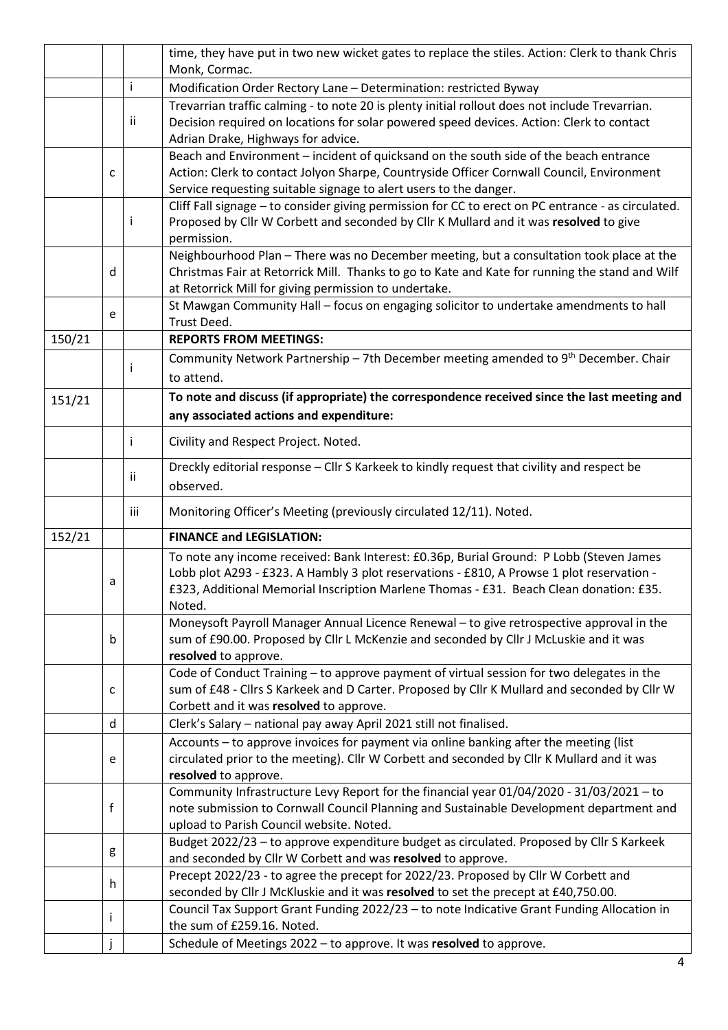|        |    |     | time, they have put in two new wicket gates to replace the stiles. Action: Clerk to thank Chris    |  |  |  |  |  |
|--------|----|-----|----------------------------------------------------------------------------------------------------|--|--|--|--|--|
|        |    |     | Monk, Cormac.                                                                                      |  |  |  |  |  |
|        |    | i.  | Modification Order Rectory Lane - Determination: restricted Byway                                  |  |  |  |  |  |
|        |    |     | Trevarrian traffic calming - to note 20 is plenty initial rollout does not include Trevarrian.     |  |  |  |  |  |
|        |    | ii  | Decision required on locations for solar powered speed devices. Action: Clerk to contact           |  |  |  |  |  |
|        |    |     | Adrian Drake, Highways for advice.                                                                 |  |  |  |  |  |
|        |    |     | Beach and Environment - incident of quicksand on the south side of the beach entrance              |  |  |  |  |  |
|        | C  |     | Action: Clerk to contact Jolyon Sharpe, Countryside Officer Cornwall Council, Environment          |  |  |  |  |  |
|        |    |     | Service requesting suitable signage to alert users to the danger.                                  |  |  |  |  |  |
|        |    |     | Cliff Fall signage - to consider giving permission for CC to erect on PC entrance - as circulated. |  |  |  |  |  |
|        |    | Ť   | Proposed by Cllr W Corbett and seconded by Cllr K Mullard and it was resolved to give              |  |  |  |  |  |
|        |    |     | permission.                                                                                        |  |  |  |  |  |
|        |    |     | Neighbourhood Plan - There was no December meeting, but a consultation took place at the           |  |  |  |  |  |
|        | d  |     | Christmas Fair at Retorrick Mill. Thanks to go to Kate and Kate for running the stand and Wilf     |  |  |  |  |  |
|        |    |     | at Retorrick Mill for giving permission to undertake.                                              |  |  |  |  |  |
|        | e  |     | St Mawgan Community Hall - focus on engaging solicitor to undertake amendments to hall             |  |  |  |  |  |
|        |    |     | Trust Deed.                                                                                        |  |  |  |  |  |
| 150/21 |    |     | <b>REPORTS FROM MEETINGS:</b>                                                                      |  |  |  |  |  |
|        |    |     | Community Network Partnership - 7th December meeting amended to 9 <sup>th</sup> December. Chair    |  |  |  |  |  |
|        |    | Ť   | to attend.                                                                                         |  |  |  |  |  |
| 151/21 |    |     | To note and discuss (if appropriate) the correspondence received since the last meeting and        |  |  |  |  |  |
|        |    |     | any associated actions and expenditure:                                                            |  |  |  |  |  |
|        |    |     |                                                                                                    |  |  |  |  |  |
|        |    | i.  | Civility and Respect Project. Noted.                                                               |  |  |  |  |  |
|        |    | ii  | Dreckly editorial response - Cllr S Karkeek to kindly request that civility and respect be         |  |  |  |  |  |
|        |    |     | observed.                                                                                          |  |  |  |  |  |
|        |    | iii | Monitoring Officer's Meeting (previously circulated 12/11). Noted.                                 |  |  |  |  |  |
| 152/21 |    |     | <b>FINANCE and LEGISLATION:</b>                                                                    |  |  |  |  |  |
|        |    |     | To note any income received: Bank Interest: £0.36p, Burial Ground: P Lobb (Steven James            |  |  |  |  |  |
|        | a  |     | Lobb plot A293 - £323. A Hambly 3 plot reservations - £810, A Prowse 1 plot reservation -          |  |  |  |  |  |
|        |    |     |                                                                                                    |  |  |  |  |  |
|        |    |     | £323, Additional Memorial Inscription Marlene Thomas - £31. Beach Clean donation: £35              |  |  |  |  |  |
|        |    |     | Noted.                                                                                             |  |  |  |  |  |
|        |    |     | Moneysoft Payroll Manager Annual Licence Renewal - to give retrospective approval in the           |  |  |  |  |  |
|        | b  |     | sum of £90.00. Proposed by Cllr L McKenzie and seconded by Cllr J McLuskie and it was              |  |  |  |  |  |
|        |    |     | resolved to approve.                                                                               |  |  |  |  |  |
|        |    |     | Code of Conduct Training - to approve payment of virtual session for two delegates in the          |  |  |  |  |  |
|        | c  |     | sum of £48 - Cllrs S Karkeek and D Carter. Proposed by Cllr K Mullard and seconded by Cllr W       |  |  |  |  |  |
|        |    |     | Corbett and it was resolved to approve.                                                            |  |  |  |  |  |
|        | d  |     | Clerk's Salary - national pay away April 2021 still not finalised.                                 |  |  |  |  |  |
|        |    |     | Accounts - to approve invoices for payment via online banking after the meeting (list              |  |  |  |  |  |
|        | e  |     | circulated prior to the meeting). Cllr W Corbett and seconded by Cllr K Mullard and it was         |  |  |  |  |  |
|        |    |     | resolved to approve.                                                                               |  |  |  |  |  |
|        |    |     | Community Infrastructure Levy Report for the financial year 01/04/2020 - 31/03/2021 - to           |  |  |  |  |  |
|        | f  |     | note submission to Cornwall Council Planning and Sustainable Development department and            |  |  |  |  |  |
|        |    |     | upload to Parish Council website. Noted.                                                           |  |  |  |  |  |
|        | g  |     | Budget 2022/23 - to approve expenditure budget as circulated. Proposed by Cllr S Karkeek           |  |  |  |  |  |
|        |    |     | and seconded by Cllr W Corbett and was resolved to approve.                                        |  |  |  |  |  |
|        | h. |     | Precept 2022/23 - to agree the precept for 2022/23. Proposed by Cllr W Corbett and                 |  |  |  |  |  |
|        |    |     | seconded by Cllr J McKluskie and it was resolved to set the precept at £40,750.00.                 |  |  |  |  |  |
|        | i  |     | Council Tax Support Grant Funding 2022/23 - to note Indicative Grant Funding Allocation in         |  |  |  |  |  |
|        |    |     | the sum of £259.16. Noted.<br>Schedule of Meetings 2022 - to approve. It was resolved to approve.  |  |  |  |  |  |